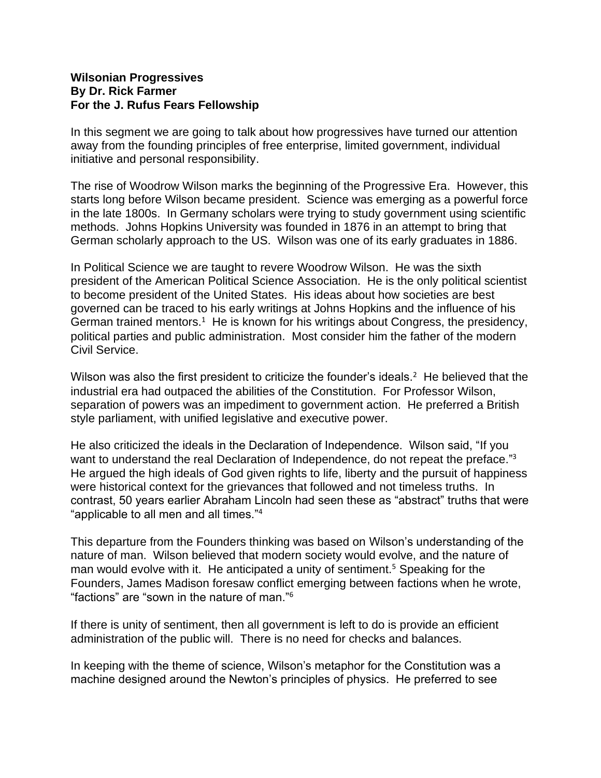## **Wilsonian Progressives By Dr. Rick Farmer For the J. Rufus Fears Fellowship**

In this segment we are going to talk about how progressives have turned our attention away from the founding principles of free enterprise, limited government, individual initiative and personal responsibility.

The rise of Woodrow Wilson marks the beginning of the Progressive Era. However, this starts long before Wilson became president. Science was emerging as a powerful force in the late 1800s. In Germany scholars were trying to study government using scientific methods. Johns Hopkins University was founded in 1876 in an attempt to bring that German scholarly approach to the US. Wilson was one of its early graduates in 1886.

In Political Science we are taught to revere Woodrow Wilson. He was the sixth president of the American Political Science Association. He is the only political scientist to become president of the United States. His ideas about how societies are best governed can be traced to his early writings at Johns Hopkins and the influence of his German trained mentors.<sup>1</sup> He is known for his writings about Congress, the presidency, political parties and public administration. Most consider him the father of the modern Civil Service.

Wilson was also the first president to criticize the founder's ideals.<sup>2</sup> He believed that the industrial era had outpaced the abilities of the Constitution. For Professor Wilson, separation of powers was an impediment to government action. He preferred a British style parliament, with unified legislative and executive power.

He also criticized the ideals in the Declaration of Independence. Wilson said, "If you want to understand the real Declaration of Independence, do not repeat the preface."<sup>3</sup> He argued the high ideals of God given rights to life, liberty and the pursuit of happiness were historical context for the grievances that followed and not timeless truths. In contrast, 50 years earlier Abraham Lincoln had seen these as "abstract" truths that were "applicable to all men and all times."<sup>4</sup>

This departure from the Founders thinking was based on Wilson's understanding of the nature of man. Wilson believed that modern society would evolve, and the nature of man would evolve with it. He anticipated a unity of sentiment.<sup>5</sup> Speaking for the Founders, James Madison foresaw conflict emerging between factions when he wrote, "factions" are "sown in the nature of man."<sup>6</sup>

If there is unity of sentiment, then all government is left to do is provide an efficient administration of the public will. There is no need for checks and balances.

In keeping with the theme of science, Wilson's metaphor for the Constitution was a machine designed around the Newton's principles of physics. He preferred to see